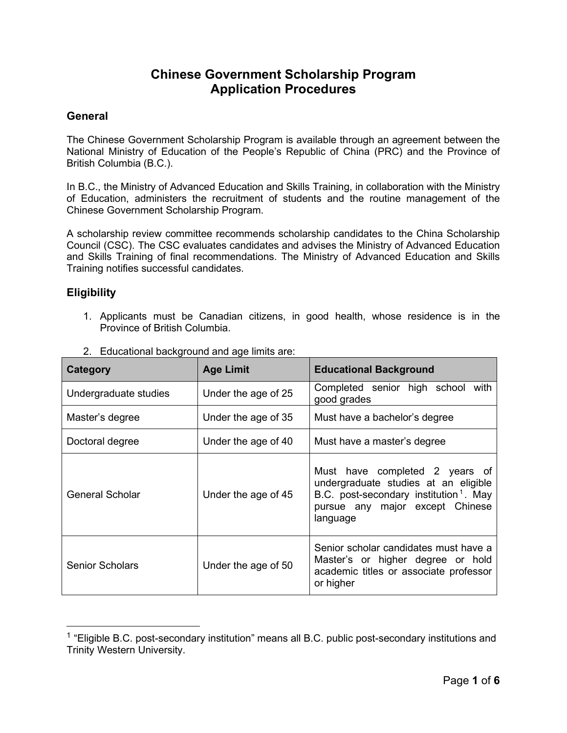## **Chinese Government Scholarship Program Application Procedures**

#### **General**

The Chinese Government Scholarship Program is available through an agreement between the National Ministry of Education of the People's Republic of China (PRC) and the Province of British Columbia (B.C.).

In B.C., the Ministry of Advanced Education and Skills Training, in collaboration with the Ministry of Education, administers the recruitment of students and the routine management of the Chinese Government Scholarship Program.

A scholarship review committee recommends scholarship candidates to the China Scholarship Council (CSC). The CSC evaluates candidates and advises the Ministry of Advanced Education and Skills Training of final recommendations. The Ministry of Advanced Education and Skills Training notifies successful candidates.

#### **Eligibility**

1. Applicants must be Canadian citizens, in good health, whose residence is in the Province of British Columbia.

| Category               | <b>Age Limit</b>    | <b>Educational Background</b>                                                                                                                                               |  |
|------------------------|---------------------|-----------------------------------------------------------------------------------------------------------------------------------------------------------------------------|--|
| Undergraduate studies  | Under the age of 25 | Completed senior high school with<br>good grades                                                                                                                            |  |
| Master's degree        | Under the age of 35 | Must have a bachelor's degree                                                                                                                                               |  |
| Doctoral degree        | Under the age of 40 | Must have a master's degree                                                                                                                                                 |  |
| General Scholar        | Under the age of 45 | Must have completed 2 years of<br>undergraduate studies at an eligible<br>B.C. post-secondary institution <sup>1</sup> . May<br>pursue any major except Chinese<br>language |  |
| <b>Senior Scholars</b> | Under the age of 50 | Senior scholar candidates must have a<br>Master's or higher degree or hold<br>academic titles or associate professor<br>or higher                                           |  |

2. Educational background and age limits are:

<span id="page-0-0"></span> $1$  "Eligible B.C. post-secondary institution" means all B.C. public post-secondary institutions and Trinity Western University.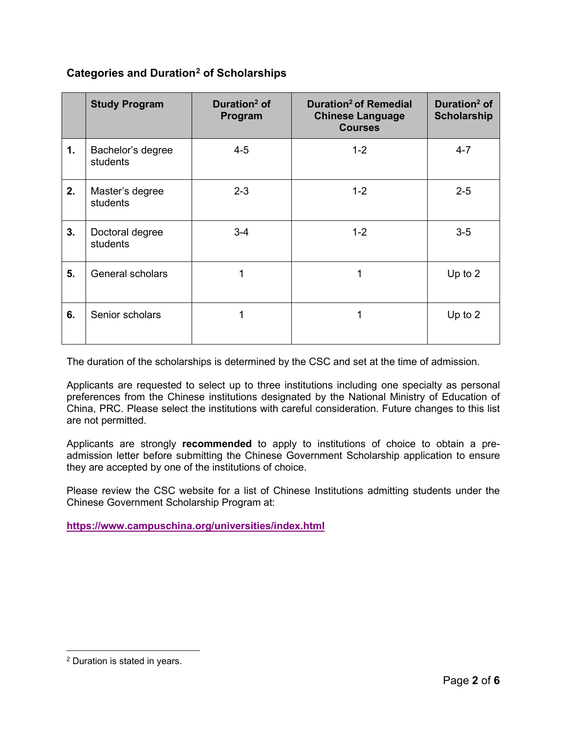### **Categories and Duration[2](#page-1-0) of Scholarships**

|    | <b>Study Program</b>          | Duration <sup>2</sup> of<br>Program | Duration <sup>2</sup> of Remedial<br><b>Chinese Language</b><br><b>Courses</b> | Duration <sup>2</sup> of<br><b>Scholarship</b> |
|----|-------------------------------|-------------------------------------|--------------------------------------------------------------------------------|------------------------------------------------|
| 1. | Bachelor's degree<br>students | $4 - 5$                             | $1 - 2$                                                                        | $4 - 7$                                        |
| 2. | Master's degree<br>students   | $2 - 3$                             | $1 - 2$                                                                        | $2 - 5$                                        |
| 3. | Doctoral degree<br>students   | $3 - 4$                             | $1 - 2$                                                                        | $3-5$                                          |
| 5. | General scholars              | 1                                   | 1                                                                              | Up to 2                                        |
| 6. | Senior scholars               | 1                                   | 1                                                                              | Up to $2$                                      |

The duration of the scholarships is determined by the CSC and set at the time of admission.

Applicants are requested to select up to three institutions including one specialty as personal preferences from the Chinese institutions designated by the National Ministry of Education of China, PRC. Please select the institutions with careful consideration. Future changes to this list are not permitted.

Applicants are strongly **recommended** to apply to institutions of choice to obtain a preadmission letter before submitting the Chinese Government Scholarship application to ensure they are accepted by one of the institutions of choice.

Please review the CSC website for a list of Chinese Institutions admitting students under the Chinese Government Scholarship Program at:

**<https://www.campuschina.org/universities/index.html>**

<span id="page-1-0"></span><sup>2</sup> Duration is stated in years.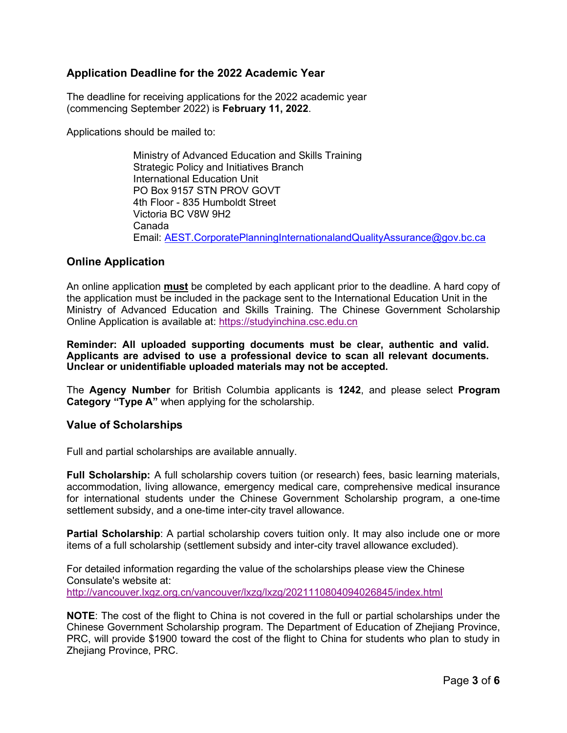#### **Application Deadline for the 2022 Academic Year**

The deadline for receiving applications for the 2022 academic year (commencing September 2022) is **February 11, 2022**.

Applications should be mailed to:

Ministry of Advanced Education and Skills Training Strategic Policy and Initiatives Branch International Education Unit PO Box 9157 STN PROV GOVT 4th Floor - 835 Humboldt Street Victoria BC V8W 9H2 Canada Email: [AEST.CorporatePlanningInternationalandQualityAssurance@gov.bc.ca](mailto:AEST.CorporatePlanningInternationalandQualityAssurance@gov.bc.ca)

#### **Online Application**

An online application **must** be completed by each applicant prior to the deadline. A hard copy of the application must be included in the package sent to the International Education Unit in the Ministry of Advanced Education and Skills Training. The Chinese Government Scholarship Online Application is available at: [https://studyinchina.csc.edu.cn](https://studyinchina.csc.edu.cn/#/login)

**Reminder: All uploaded supporting documents must be clear, authentic and valid. Applicants are advised to use a professional device to scan all relevant documents. Unclear or unidentifiable uploaded materials may not be accepted.** 

The **Agency Number** for British Columbia applicants is **1242**, and please select **Program Category "Type A"** when applying for the scholarship.

#### **Value of Scholarships**

Full and partial scholarships are available annually.

**Full Scholarship:** A full scholarship covers tuition (or research) fees, basic learning materials, accommodation, living allowance, emergency medical care, comprehensive medical insurance for international students under the Chinese Government Scholarship program, a one-time settlement subsidy, and a one-time inter-city travel allowance.

**Partial Scholarship:** A partial scholarship covers tuition only. It may also include one or more items of a full scholarship (settlement subsidy and inter-city travel allowance excluded).

For detailed information regarding the value of the scholarships please view the Chinese Consulate's website at: <http://vancouver.lxgz.org.cn/vancouver/lxzg/lxzg/2021110804094026845/index.html>

**NOTE**: The cost of the flight to China is not covered in the full or partial scholarships under the Chinese Government Scholarship program. The Department of Education of Zhejiang Province, PRC, will provide \$1900 toward the cost of the flight to China for students who plan to study in Zhejiang Province, PRC.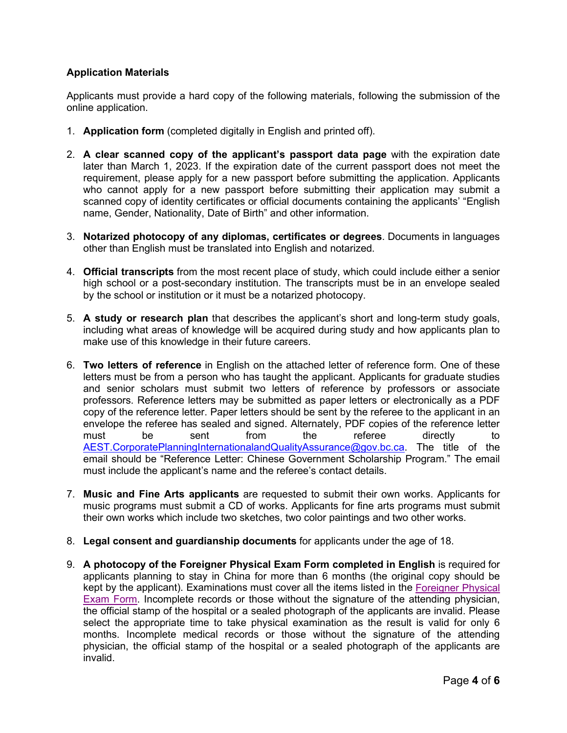#### **Application Materials**

Applicants must provide a hard copy of the following materials, following the submission of the online application.

- 1. **Application form** (completed digitally in English and printed off).
- 2. **A clear scanned copy of the applicant's passport data page** with the expiration date later than March 1, 2023. If the expiration date of the current passport does not meet the requirement, please apply for a new passport before submitting the application. Applicants who cannot apply for a new passport before submitting their application may submit a scanned copy of identity certificates or official documents containing the applicants' "English name, Gender, Nationality, Date of Birth" and other information.
- 3. **Notarized photocopy of any diplomas, certificates or degrees**. Documents in languages other than English must be translated into English and notarized.
- 4. **Official transcripts** from the most recent place of study, which could include either a senior high school or a post-secondary institution. The transcripts must be in an envelope sealed by the school or institution or it must be a notarized photocopy.
- 5. **A study or research plan** that describes the applicant's short and long-term study goals, including what areas of knowledge will be acquired during study and how applicants plan to make use of this knowledge in their future careers.
- 6. **Two letters of reference** in English on the attached letter of reference form. One of these letters must be from a person who has taught the applicant. Applicants for graduate studies and senior scholars must submit two letters of reference by professors or associate professors. Reference letters may be submitted as paper letters or electronically as a PDF copy of the reference letter. Paper letters should be sent by the referee to the applicant in an envelope the referee has sealed and signed. Alternately, PDF copies of the reference letter must be sent from the referee directly to [AEST.CorporatePlanningInternationalandQualityAssurance@gov.bc.ca.](mailto:AEST.CorporatePlanningInternationalandQualityAssurance@gov.bc.ca) The title of the email should be "Reference Letter: Chinese Government Scholarship Program." The email must include the applicant's name and the referee's contact details.
- 7. **Music and Fine Arts applicants** are requested to submit their own works. Applicants for music programs must submit a CD of works. Applicants for fine arts programs must submit their own works which include two sketches, two color paintings and two other works.
- 8. **Legal consent and guardianship documents** for applicants under the age of 18.
- 9. **A photocopy of the Foreigner Physical Exam Form completed in English** is required for applicants planning to stay in China for more than 6 months (the original copy should be kept by the applicant). Examinations must cover all the items listed in the [Foreigner Physical](http://vancouver.lxgz.org.cn/Portals/67/Foreigner%20Physical%20Examination%20Form-2021.pdf)  [Exam Form.](http://vancouver.lxgz.org.cn/Portals/67/Foreigner%20Physical%20Examination%20Form-2021.pdf) Incomplete records or those without the signature of the attending physician, the official stamp of the hospital or a sealed photograph of the applicants are invalid. Please select the appropriate time to take physical examination as the result is valid for only 6 months. Incomplete medical records or those without the signature of the attending physician, the official stamp of the hospital or a sealed photograph of the applicants are invalid.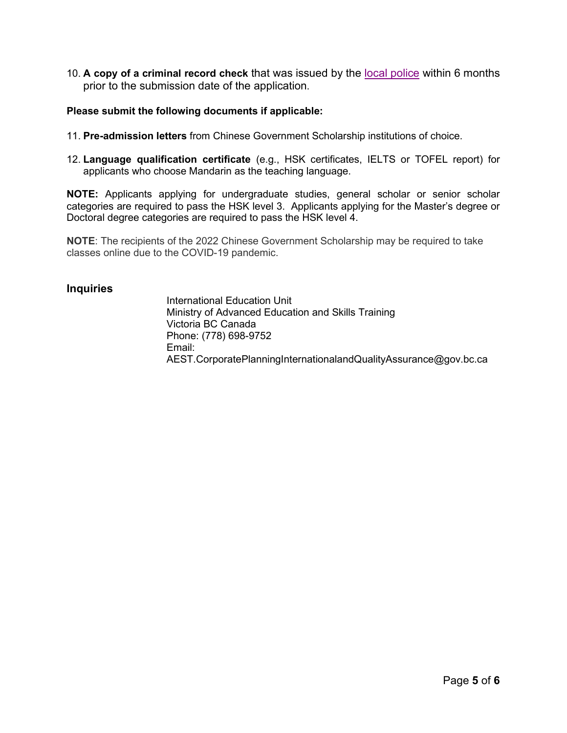10. **A copy of a criminal record check** that was issued by the [local police](https://www2.gov.bc.ca/gov/content/justice/criminal-justice/policing-in-bc/bc-police-forces) within 6 months prior to the submission date of the application.

#### **Please submit the following documents if applicable:**

- 11. **Pre-admission letters** from Chinese Government Scholarship institutions of choice.
- 12. **Language qualification certificate** (e.g., HSK certificates, IELTS or TOFEL report) for applicants who choose Mandarin as the teaching language.

**NOTE:** Applicants applying for undergraduate studies, general scholar or senior scholar categories are required to pass the HSK level 3. Applicants applying for the Master's degree or Doctoral degree categories are required to pass the HSK level 4.

**NOTE**: The recipients of the 2022 Chinese Government Scholarship may be required to take classes online due to the COVID-19 pandemic.

#### **Inquiries**

International Education Unit Ministry of Advanced Education and Skills Training Victoria BC Canada Phone[: \(778\) 698-9752](mailto:%20AEST.CorporatePlanningInternationalandQualityAssurance@gov.bc.ca) Email: [AEST.CorporatePlanningInternationalandQualityAssurance@gov.bc.ca](mailto:%20AEST.CorporatePlanningInternationalandQualityAssurance@gov.bc.ca)